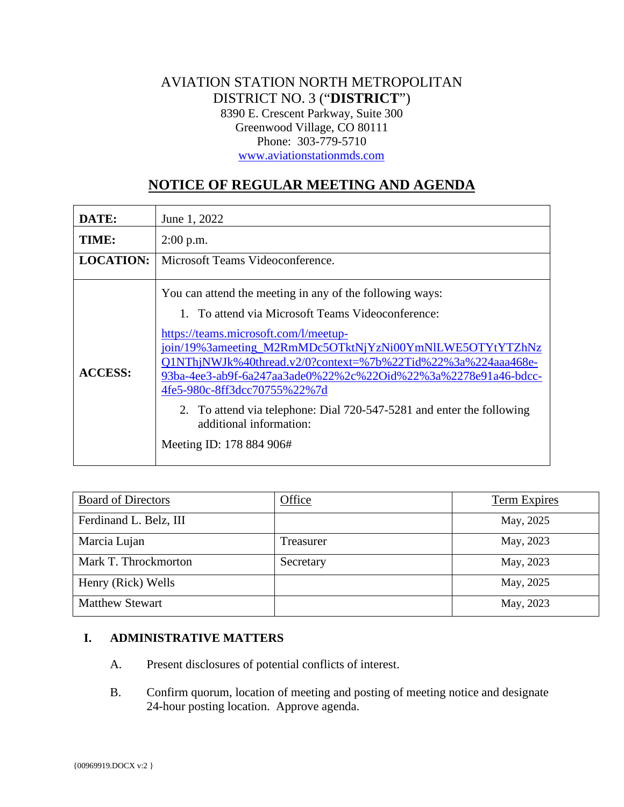# AVIATION STATION NORTH METROPOLITAN DISTRICT NO. 3 ("**DISTRICT**") 8390 E. Crescent Parkway, Suite 300 Greenwood Village, CO 80111 Phone: 303-779-5710 [www.aviationstationmds.com](http://www.aviationstationmds.com/)

# **NOTICE OF REGULAR MEETING AND AGENDA**

| DATE:            | June 1, 2022                                                                                                                                                                                                                                                                                                                                                                                                                                                                                                         |
|------------------|----------------------------------------------------------------------------------------------------------------------------------------------------------------------------------------------------------------------------------------------------------------------------------------------------------------------------------------------------------------------------------------------------------------------------------------------------------------------------------------------------------------------|
| TIME:            | $2:00$ p.m.                                                                                                                                                                                                                                                                                                                                                                                                                                                                                                          |
| <b>LOCATION:</b> | Microsoft Teams Videoconference.                                                                                                                                                                                                                                                                                                                                                                                                                                                                                     |
| <b>ACCESS:</b>   | You can attend the meeting in any of the following ways:<br>1. To attend via Microsoft Teams Videoconference:<br>https://teams.microsoft.com/l/meetup-<br>join/19%3ameeting_M2RmMDc5OTktNjYzNi00YmNlLWE5OTYtYTZhNz<br>Q1NThjNWJk%40thread.v2/0?context=%7b%22Tid%22%3a%224aaa468e-<br>93ba-4ee3-ab9f-6a247aa3ade0%22%2c%22Oid%22%3a%2278e91a46-bdcc-<br>4fe5-980c-8ff3dcc70755%22%7d<br>2. To attend via telephone: Dial 720-547-5281 and enter the following<br>additional information:<br>Meeting ID: 178 884 906# |

| <b>Board of Directors</b> | Office    | Term Expires |
|---------------------------|-----------|--------------|
| Ferdinand L. Belz, III    |           | May, 2025    |
| Marcia Lujan              | Treasurer | May, 2023    |
| Mark T. Throckmorton      | Secretary | May, 2023    |
| Henry (Rick) Wells        |           | May, 2025    |
| <b>Matthew Stewart</b>    |           | May, 2023    |

### **I. ADMINISTRATIVE MATTERS**

- A. Present disclosures of potential conflicts of interest.
- B. Confirm quorum, location of meeting and posting of meeting notice and designate 24-hour posting location. Approve agenda.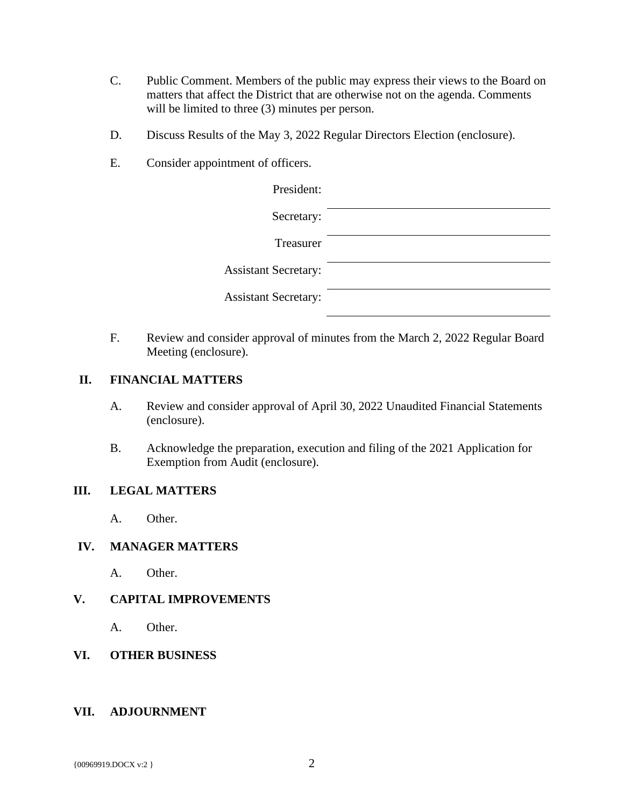- C. Public Comment. Members of the public may express their views to the Board on matters that affect the District that are otherwise not on the agenda. Comments will be limited to three  $(3)$  minutes per person.
- D. Discuss Results of the May 3, 2022 Regular Directors Election (enclosure).
- E. Consider appointment of officers.

| President:                  |  |
|-----------------------------|--|
| Secretary:                  |  |
| Treasurer                   |  |
| <b>Assistant Secretary:</b> |  |
| <b>Assistant Secretary:</b> |  |

F. Review and consider approval of minutes from the March 2, 2022 Regular Board Meeting (enclosure).

#### **II. FINANCIAL MATTERS**

- A. Review and consider approval of April 30, 2022 Unaudited Financial Statements (enclosure).
- B. Acknowledge the preparation, execution and filing of the 2021 Application for Exemption from Audit (enclosure).

#### **III. LEGAL MATTERS**

A. Other.

#### **IV. MANAGER MATTERS**

A. Other.

## **V. CAPITAL IMPROVEMENTS**

A. Other.

#### **VI. OTHER BUSINESS**

#### **VII. ADJOURNMENT**